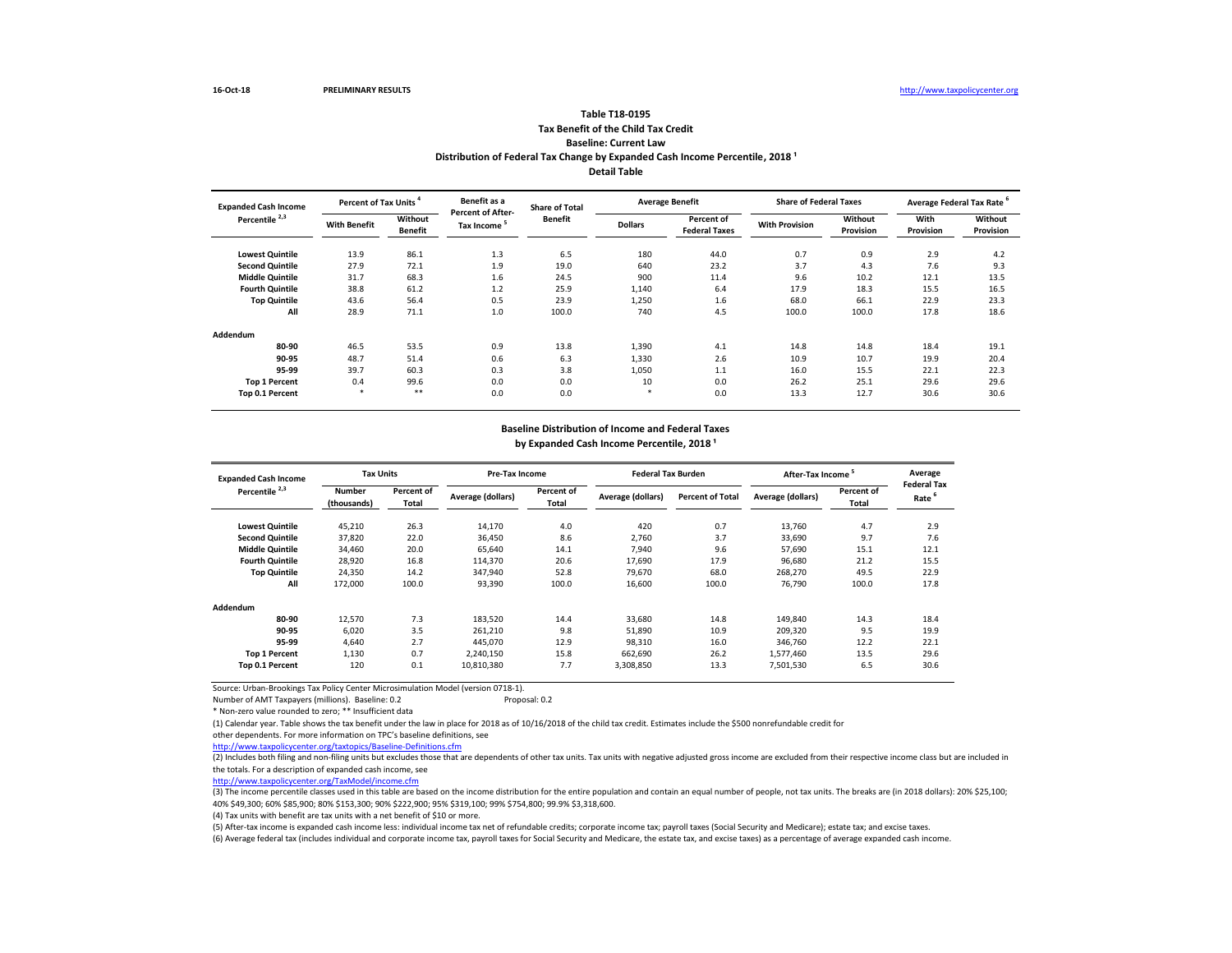(3) The income percentile classes used in this table are based on the income distribution for the entire population and contain an equal number of people, not tax units. The breaks are (in 2018 dollars): 20% \$25,100; 40% \$49,300; 60% \$85,900; 80% \$153,300; 90% \$222,900; 95% \$319,100; 99% \$754,800; 99.9% \$3,318,600.

Source: Urban-Brookings Tax Policy Center Microsimulation Model (version 0718-1).

Number of AMT Taxpayers (millions). Baseline: 0.2 example and the Proposal: 0.2

\* Non-zero value rounded to zero; \*\* Insufficient data

(1) Calendar year. Table shows the tax benefit under the law in place for 2018 as of 10/16/2018 of the child tax credit. Estimates include the \$500 nonrefundable credit for other dependents. For more information on TPC's baseline definitions, see

<http://www.taxpolicycenter.org/taxtopics/Baseline-Definitions.cfm>

| <b>Expanded Cash Income</b> | Percent of Tax Units <sup>4</sup> |                           | Benefit as a                           | <b>Share of Total</b> |                | <b>Average Benefit</b>             | <b>Share of Federal Taxes</b> |                             | Average Federal Tax Rate <sup>6</sup> |                      |
|-----------------------------|-----------------------------------|---------------------------|----------------------------------------|-----------------------|----------------|------------------------------------|-------------------------------|-----------------------------|---------------------------------------|----------------------|
| Percentile <sup>2,3</sup>   | <b>With Benefit</b>               | Without<br><b>Benefit</b> | <b>Percent of After-</b><br>Tax Income | <b>Benefit</b>        | <b>Dollars</b> | Percent of<br><b>Federal Taxes</b> | <b>With Provision</b>         | <b>Without</b><br>Provision | With<br>Provision                     | Without<br>Provision |
| <b>Lowest Quintile</b>      | 13.9                              | 86.1                      | 1.3                                    | 6.5                   | 180            | 44.0                               | 0.7                           | 0.9                         | 2.9                                   | 4.2                  |
| <b>Second Quintile</b>      | 27.9                              | 72.1                      | 1.9                                    | 19.0                  | 640            | 23.2                               | 3.7                           | 4.3                         | 7.6                                   | 9.3                  |
| <b>Middle Quintile</b>      | 31.7                              | 68.3                      | 1.6                                    | 24.5                  | 900            | 11.4                               | 9.6                           | 10.2                        | 12.1                                  | 13.5                 |
| <b>Fourth Quintile</b>      | 38.8                              | 61.2                      | 1.2                                    | 25.9                  | 1,140          | 6.4                                | 17.9                          | 18.3                        | 15.5                                  | 16.5                 |
| <b>Top Quintile</b>         | 43.6                              | 56.4                      | 0.5                                    | 23.9                  | 1,250          | 1.6                                | 68.0                          | 66.1                        | 22.9                                  | 23.3                 |
| All                         | 28.9                              | 71.1                      | 1.0                                    | 100.0                 | 740            | 4.5                                | 100.0                         | 100.0                       | 17.8                                  | 18.6                 |
| <b>Addendum</b>             |                                   |                           |                                        |                       |                |                                    |                               |                             |                                       |                      |
| 80-90                       | 46.5                              | 53.5                      | 0.9                                    | 13.8                  | 1,390          | 4.1                                | 14.8                          | 14.8                        | 18.4                                  | 19.1                 |
| 90-95                       | 48.7                              | 51.4                      | 0.6                                    | 6.3                   | 1,330          | 2.6                                | 10.9                          | 10.7                        | 19.9                                  | 20.4                 |
| 95-99                       | 39.7                              | 60.3                      | 0.3                                    | 3.8                   | 1,050          | 1.1                                | 16.0                          | 15.5                        | 22.1                                  | 22.3                 |
| <b>Top 1 Percent</b>        | 0.4                               | 99.6                      | 0.0                                    | 0.0                   | 10             | 0.0                                | 26.2                          | 25.1                        | 29.6                                  | 29.6                 |
| Top 0.1 Percent             | $\ast$                            | $***$                     | 0.0                                    | 0.0                   | $\ast$         | 0.0                                | 13.3                          | 12.7                        | 30.6                                  | 30.6                 |

# **Tax Benefit of the Child Tax Credit Baseline: Current Law Table T18-0195 Distribution of Federal Tax Change by Expanded Cash Income Percentile, 2018<sup>1</sup> Detail Table**

| <b>Expanded Cash Income</b> | <b>Tax Units</b>             |                            | <b>Pre-Tax Income</b> |                                   | <b>Federal Tax Burden</b> |                         | After-Tax Income <sup>5</sup> |                     | Average                                 |
|-----------------------------|------------------------------|----------------------------|-----------------------|-----------------------------------|---------------------------|-------------------------|-------------------------------|---------------------|-----------------------------------------|
| Percentile <sup>2,3</sup>   | <b>Number</b><br>(thousands) | Percent of<br><b>Total</b> | Average (dollars)     | <b>Percent of</b><br><b>Total</b> | Average (dollars)         | <b>Percent of Total</b> | Average (dollars)             | Percent of<br>Total | <b>Federal Tax</b><br>Rate <sup>6</sup> |
| <b>Lowest Quintile</b>      | 45,210                       | 26.3                       | 14,170                | 4.0                               | 420                       | 0.7                     | 13,760                        | 4.7                 | 2.9                                     |
| <b>Second Quintile</b>      | 37,820                       | 22.0                       | 36,450                | 8.6                               | 2,760                     | 3.7                     | 33,690                        | 9.7                 | 7.6                                     |
| <b>Middle Quintile</b>      | 34,460                       | 20.0                       | 65,640                | 14.1                              | 7,940                     | 9.6                     | 57,690                        | 15.1                | 12.1                                    |
| <b>Fourth Quintile</b>      | 28,920                       | 16.8                       | 114,370               | 20.6                              | 17,690                    | 17.9                    | 96,680                        | 21.2                | 15.5                                    |
| <b>Top Quintile</b>         | 24,350                       | 14.2                       | 347,940               | 52.8                              | 79,670                    | 68.0                    | 268,270                       | 49.5                | 22.9                                    |
| All                         | 172,000                      | 100.0                      | 93,390                | 100.0                             | 16,600                    | 100.0                   | 76,790                        | 100.0               | 17.8                                    |
| Addendum                    |                              |                            |                       |                                   |                           |                         |                               |                     |                                         |
| 80-90                       | 12,570                       | 7.3                        | 183,520               | 14.4                              | 33,680                    | 14.8                    | 149,840                       | 14.3                | 18.4                                    |
| 90-95                       | 6,020                        | 3.5                        | 261,210               | 9.8                               | 51,890                    | 10.9                    | 209,320                       | 9.5                 | 19.9                                    |
| 95-99                       | 4,640                        | 2.7                        | 445,070               | 12.9                              | 98,310                    | 16.0                    | 346,760                       | 12.2                | 22.1                                    |
| <b>Top 1 Percent</b>        | 1,130                        | 0.7                        | 2,240,150             | 15.8                              | 662,690                   | 26.2                    | 1,577,460                     | 13.5                | 29.6                                    |
| <b>Top 0.1 Percent</b>      | 120                          | 0.1                        | 10,810,380            | 7.7                               | 3,308,850                 | 13.3                    | 7,501,530                     | 6.5                 | 30.6                                    |

[http://www.taxpolicycente](http://www.taxpolicycenter.org/TaxModel/income.cfm)r.org/TaxModel/income.cfm

(6) Average federal tax (includes individual and corporate income tax, payroll taxes for Social Security and Medicare, the estate tax, and excise taxes) as a percentage of average expanded cash income. (5) After-tax income is expanded cash income less: individual income tax net of refundable credits; corporate income tax; payroll taxes (Social Security and Medicare); estate tax; and excise taxes.

(4) Tax units with benefit are tax units with a net benefit of \$10 or more.

# **Baseline Distribution of Income and Federal Taxes**

by Expanded Cash Income Percentile, 2018<sup>1</sup>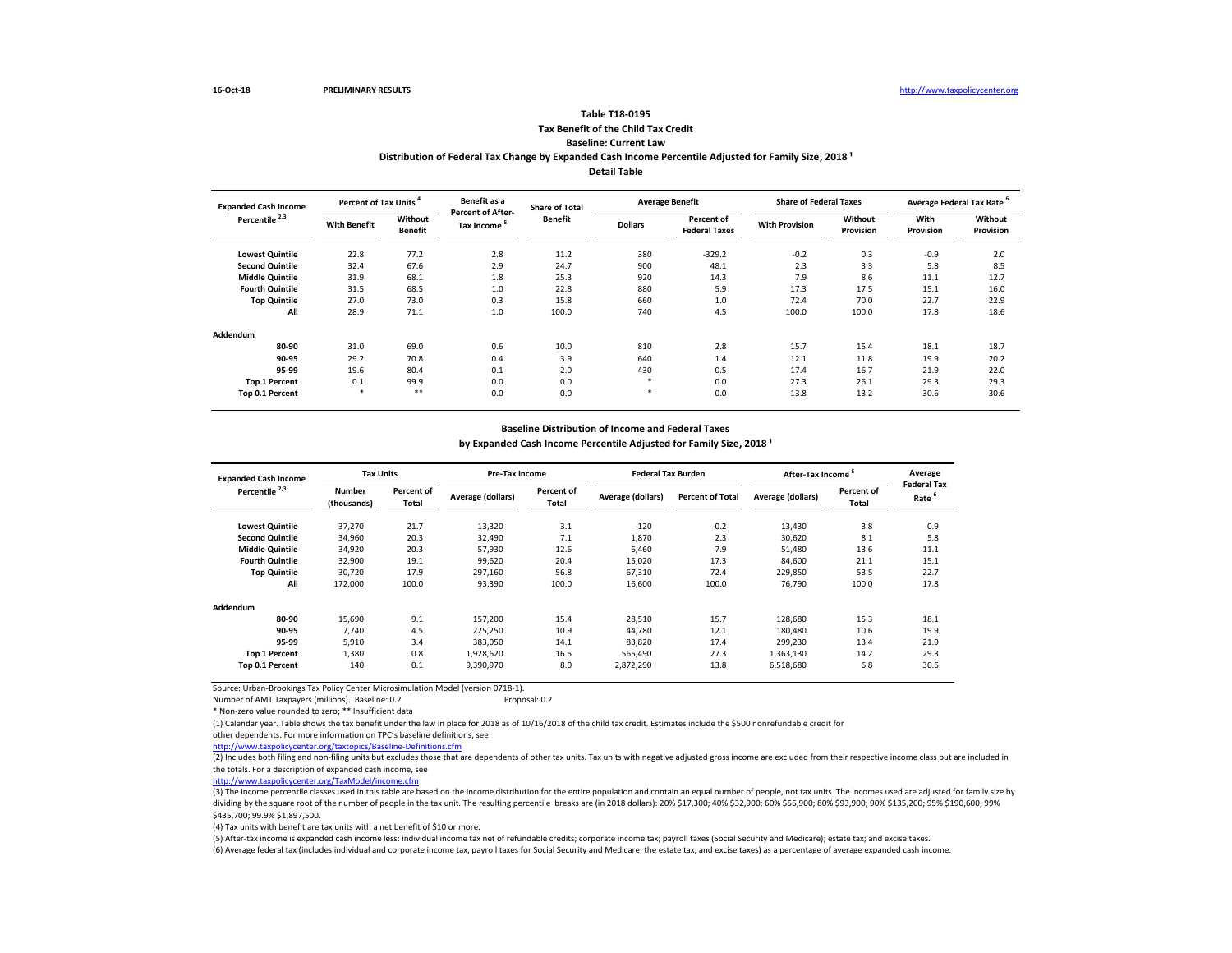(3) The income percentile classes used in this table are based on the income distribution for the entire population and contain an equal number of people, not tax units. The incomes used are adjusted for family size by dividing by the square root of the number of people in the tax unit. The resulting percentile breaks are (in 2018 dollars): 20% \$17,300; 40% \$32,900; 60% \$55,900; 80% \$93,900; 90% \$135,200; 95% \$190,600; 99% \$435,700; 99.9% \$1,897,500.

Source: Urban-Brookings Tax Policy Center Microsimulation Model (version 0718-1).

Number of AMT Taxpayers (millions). Baseline: 0.2 Proposal: 0.2

\* Non-zero value rounded to zero; \*\* Insufficient data

(1) Calendar year. Table shows the tax benefit under the law in place for 2018 as of 10/16/2018 of the child tax credit. Estimates include the \$500 nonrefundable credit for other dependents. For more information on TPC's baseline definitions, see

<http://www.taxpolicycenter.org/taxtopics/Baseline-Definitions.cfm>

# **Tax Benefit of the Child Tax Credit Baseline: Current Law Table T18-0195**

| <b>Expanded Cash Income</b> | Percent of Tax Units <sup>4</sup> |                           | Benefit as a                           | <b>Share of Total</b> |                | <b>Average Benefit</b>             | <b>Share of Federal Taxes</b> |                      | Average Federal Tax Rate <sup>6</sup> |                      |
|-----------------------------|-----------------------------------|---------------------------|----------------------------------------|-----------------------|----------------|------------------------------------|-------------------------------|----------------------|---------------------------------------|----------------------|
| Percentile <sup>2,3</sup>   | <b>With Benefit</b>               | Without<br><b>Benefit</b> | <b>Percent of After-</b><br>Tax Income | <b>Benefit</b>        | <b>Dollars</b> | Percent of<br><b>Federal Taxes</b> | <b>With Provision</b>         | Without<br>Provision | <b>With</b><br>Provision              | Without<br>Provision |
| <b>Lowest Quintile</b>      | 22.8                              | 77.2                      | 2.8                                    | 11.2                  | 380            | $-329.2$                           | $-0.2$                        | 0.3                  | $-0.9$                                | 2.0                  |
| <b>Second Quintile</b>      | 32.4                              | 67.6                      | 2.9                                    | 24.7                  | 900            | 48.1                               | 2.3                           | 3.3                  | 5.8                                   | 8.5                  |
| <b>Middle Quintile</b>      | 31.9                              | 68.1                      | 1.8                                    | 25.3                  | 920            | 14.3                               | 7.9                           | 8.6                  | 11.1                                  | 12.7                 |
| <b>Fourth Quintile</b>      | 31.5                              | 68.5                      | 1.0                                    | 22.8                  | 880            | 5.9                                | 17.3                          | 17.5                 | 15.1                                  | 16.0                 |
| <b>Top Quintile</b>         | 27.0                              | 73.0                      | 0.3                                    | 15.8                  | 660            | 1.0                                | 72.4                          | 70.0                 | 22.7                                  | 22.9                 |
| All                         | 28.9                              | 71.1                      | 1.0                                    | 100.0                 | 740            | 4.5                                | 100.0                         | 100.0                | 17.8                                  | 18.6                 |
| <b>Addendum</b>             |                                   |                           |                                        |                       |                |                                    |                               |                      |                                       |                      |
| 80-90                       | 31.0                              | 69.0                      | 0.6                                    | 10.0                  | 810            | 2.8                                | 15.7                          | 15.4                 | 18.1                                  | 18.7                 |
| 90-95                       | 29.2                              | 70.8                      | 0.4                                    | 3.9                   | 640            | 1.4                                | 12.1                          | 11.8                 | 19.9                                  | 20.2                 |
| 95-99                       | 19.6                              | 80.4                      | 0.1                                    | 2.0                   | 430            | 0.5                                | 17.4                          | 16.7                 | 21.9                                  | 22.0                 |
| <b>Top 1 Percent</b>        | 0.1                               | 99.9                      | 0.0                                    | 0.0                   | $\ast$         | 0.0                                | 27.3                          | 26.1                 | 29.3                                  | 29.3                 |
| Top 0.1 Percent             | $\ast$                            | $***$                     | 0.0                                    | 0.0                   | $\ast$         | 0.0                                | 13.8                          | 13.2                 | 30.6                                  | 30.6                 |

# Distribution of Federal Tax Change by Expanded Cash Income Percentile Adjusted for Family Size, 2018<sup>1</sup> **Detail Table**

| <b>Expanded Cash Income</b> |                              | <b>Tax Units</b>           |                   | <b>Pre-Tax Income</b>             |                   | <b>Federal Tax Burden</b> | After-Tax Income <sup>5</sup> |                            | Average<br><b>Federal Tax</b> |
|-----------------------------|------------------------------|----------------------------|-------------------|-----------------------------------|-------------------|---------------------------|-------------------------------|----------------------------|-------------------------------|
| Percentile <sup>2,3</sup>   | <b>Number</b><br>(thousands) | <b>Percent of</b><br>Total | Average (dollars) | <b>Percent of</b><br><b>Total</b> | Average (dollars) | <b>Percent of Total</b>   | Average (dollars)             | Percent of<br><b>Total</b> | Rate <sup>6</sup>             |
| <b>Lowest Quintile</b>      | 37,270                       | 21.7                       | 13,320            | 3.1                               | $-120$            | $-0.2$                    | 13,430                        | 3.8                        | $-0.9$                        |
| <b>Second Quintile</b>      | 34,960                       | 20.3                       | 32,490            | 7.1                               | 1,870             | 2.3                       | 30,620                        | 8.1                        | 5.8                           |
| <b>Middle Quintile</b>      | 34,920                       | 20.3                       | 57,930            | 12.6                              | 6,460             | 7.9                       | 51,480                        | 13.6                       | 11.1                          |
| <b>Fourth Quintile</b>      | 32,900                       | 19.1                       | 99,620            | 20.4                              | 15,020            | 17.3                      | 84,600                        | 21.1                       | 15.1                          |
| <b>Top Quintile</b>         | 30,720                       | 17.9                       | 297,160           | 56.8                              | 67,310            | 72.4                      | 229,850                       | 53.5                       | 22.7                          |
| All                         | 172,000                      | 100.0                      | 93,390            | 100.0                             | 16,600            | 100.0                     | 76,790                        | 100.0                      | 17.8                          |
| <b>Addendum</b>             |                              |                            |                   |                                   |                   |                           |                               |                            |                               |
| 80-90                       | 15,690                       | 9.1                        | 157,200           | 15.4                              | 28,510            | 15.7                      | 128,680                       | 15.3                       | 18.1                          |
| 90-95                       | 7,740                        | 4.5                        | 225,250           | 10.9                              | 44,780            | 12.1                      | 180,480                       | 10.6                       | 19.9                          |
| 95-99                       | 5,910                        | 3.4                        | 383,050           | 14.1                              | 83,820            | 17.4                      | 299,230                       | 13.4                       | 21.9                          |
| <b>Top 1 Percent</b>        | 1,380                        | 0.8                        | 1,928,620         | 16.5                              | 565,490           | 27.3                      | 1,363,130                     | 14.2                       | 29.3                          |
| <b>Top 0.1 Percent</b>      | 140                          | 0.1                        | 9,390,970         | 8.0                               | 2,872,290         | 13.8                      | 6,518,680                     | 6.8                        | 30.6                          |

[http://www.taxpolicycente](http://www.taxpolicycenter.org/TaxModel/income.cfm)r.org/TaxModel/income.cfm

(6) Average federal tax (includes individual and corporate income tax, payroll taxes for Social Security and Medicare, the estate tax, and excise taxes) as a percentage of average expanded cash income. (5) After-tax income is expanded cash income less: individual income tax net of refundable credits; corporate income tax; payroll taxes (Social Security and Medicare); estate tax; and excise taxes.

(4) Tax units with benefit are tax units with a net benefit of \$10 or more.

# **Baseline Distribution of Income and Federal Taxes**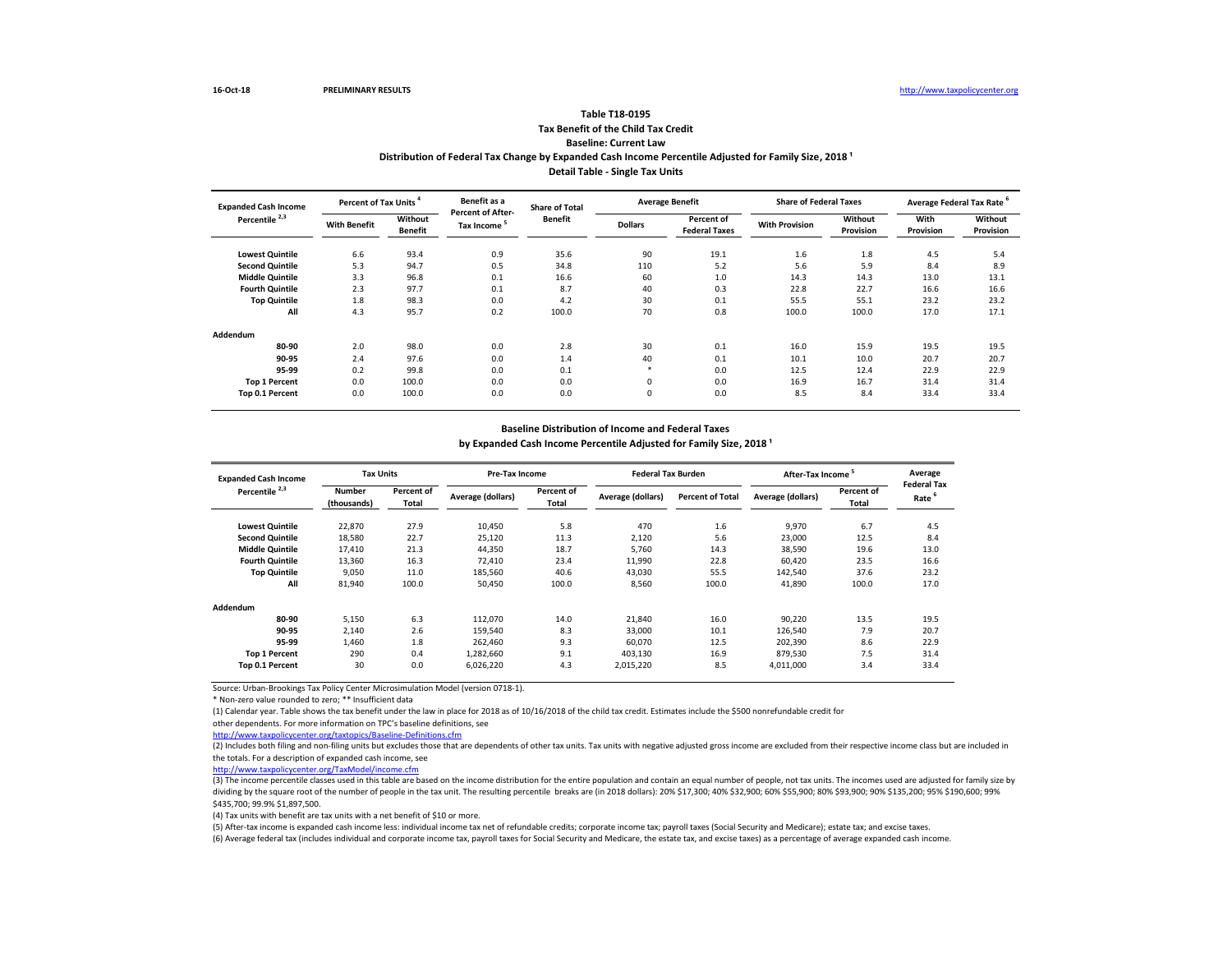(3) The income percentile classes used in this table are based on the income distribution for the entire population and contain an equal number of people, not tax units. The incomes used are adjusted for family size by dividing by the square root of the number of people in the tax unit. The resulting percentile breaks are (in 2018 dollars): 20% \$17,300; 40% \$32,900; 60% \$55,900; 80% \$93,900; 90% \$135,200; 95% \$190,600; 99% \$435,700; 99.9% \$1,897,500.

Source: Urban-Brookings Tax Policy Center Microsimulation Model (version 0718-1).

\* Non-zero value rounded to zero; \*\* Insufficient data

(1) Calendar year. Table shows the tax benefit under the law in place for 2018 as of 10/16/2018 of the child tax credit. Estimates include the \$500 nonrefundable credit for other dependents. For more information on TPC's baseline definitions, see

<http://www.taxpolicycenter.org/taxtopics/Baseline-Definitions.cfm>

# **Tax Benefit of the Child Tax Credit Baseline: Current Law Table T18-0195**

| Percent of Tax Units<br><b>Expanded Cash Income</b> |                     | Benefit as a              | <b>Share of Total</b>                               | <b>Average Benefit</b> |                | <b>Share of Federal Taxes</b>      |                       | Average Federal Tax Rate |                   |                      |
|-----------------------------------------------------|---------------------|---------------------------|-----------------------------------------------------|------------------------|----------------|------------------------------------|-----------------------|--------------------------|-------------------|----------------------|
| Percentile <sup>2,3</sup>                           | <b>With Benefit</b> | Without<br><b>Benefit</b> | <b>Percent of After-</b><br>Tax Income <sup>5</sup> | <b>Benefit</b>         | <b>Dollars</b> | Percent of<br><b>Federal Taxes</b> | <b>With Provision</b> | Without<br>Provision     | With<br>Provision | Without<br>Provision |
| <b>Lowest Quintile</b>                              | 6.6                 | 93.4                      | 0.9                                                 | 35.6                   | 90             | 19.1                               | 1.6                   | 1.8                      | 4.5               | 5.4                  |
| <b>Second Quintile</b>                              | 5.3                 | 94.7                      | 0.5                                                 | 34.8                   | 110            | 5.2                                | 5.6                   | 5.9                      | 8.4               | 8.9                  |
| <b>Middle Quintile</b>                              | 3.3                 | 96.8                      | 0.1                                                 | 16.6                   | 60             | 1.0                                | 14.3                  | 14.3                     | 13.0              | 13.1                 |
| <b>Fourth Quintile</b>                              | 2.3                 | 97.7                      | 0.1                                                 | 8.7                    | 40             | 0.3                                | 22.8                  | 22.7                     | 16.6              | 16.6                 |
| <b>Top Quintile</b>                                 | 1.8                 | 98.3                      | 0.0                                                 | 4.2                    | 30             | 0.1                                | 55.5                  | 55.1                     | 23.2              | 23.2                 |
| All                                                 | 4.3                 | 95.7                      | 0.2                                                 | 100.0                  | 70             | 0.8                                | 100.0                 | 100.0                    | 17.0              | 17.1                 |
| Addendum                                            |                     |                           |                                                     |                        |                |                                    |                       |                          |                   |                      |
| 80-90                                               | 2.0                 | 98.0                      | 0.0                                                 | 2.8                    | 30             | 0.1                                | 16.0                  | 15.9                     | 19.5              | 19.5                 |
| 90-95                                               | 2.4                 | 97.6                      | 0.0                                                 | 1.4                    | 40             | 0.1                                | 10.1                  | 10.0                     | 20.7              | 20.7                 |
| 95-99                                               | 0.2                 | 99.8                      | 0.0                                                 | 0.1                    | $\ast$         | 0.0                                | 12.5                  | 12.4                     | 22.9              | 22.9                 |
| <b>Top 1 Percent</b>                                | 0.0                 | 100.0                     | 0.0                                                 | 0.0                    | $\mathbf 0$    | 0.0                                | 16.9                  | 16.7                     | 31.4              | 31.4                 |
| Top 0.1 Percent                                     | 0.0                 | 100.0                     | 0.0                                                 | 0.0                    | $\mathbf 0$    | 0.0                                | 8.5                   | 8.4                      | 33.4              | 33.4                 |

# Distribution of Federal Tax Change by Expanded Cash Income Percentile Adjusted for Family Size, 2018<sup>1</sup> **Detail Table - Single Tax Units**

| <b>Expanded Cash Income</b> | <b>Tax Units</b>             |                            | <b>Pre-Tax Income</b> |                            | <b>Federal Tax Burden</b> |                         | After-Tax Income <sup>5</sup> |                            | Average                                 |
|-----------------------------|------------------------------|----------------------------|-----------------------|----------------------------|---------------------------|-------------------------|-------------------------------|----------------------------|-----------------------------------------|
| Percentile <sup>2,3</sup>   | <b>Number</b><br>(thousands) | Percent of<br><b>Total</b> | Average (dollars)     | Percent of<br><b>Total</b> | Average (dollars)         | <b>Percent of Total</b> | Average (dollars)             | Percent of<br><b>Total</b> | <b>Federal Tax</b><br>Rate <sup>6</sup> |
| <b>Lowest Quintile</b>      | 22,870                       | 27.9                       | 10,450                | 5.8                        | 470                       | 1.6                     | 9,970                         | 6.7                        | 4.5                                     |
| <b>Second Quintile</b>      | 18,580                       | 22.7                       | 25,120                | 11.3                       | 2,120                     | 5.6                     | 23,000                        | 12.5                       | 8.4                                     |
| <b>Middle Quintile</b>      | 17,410                       | 21.3                       | 44,350                | 18.7                       | 5,760                     | 14.3                    | 38,590                        | 19.6                       | 13.0                                    |
| <b>Fourth Quintile</b>      | 13,360                       | 16.3                       | 72,410                | 23.4                       | 11,990                    | 22.8                    | 60,420                        | 23.5                       | 16.6                                    |
| <b>Top Quintile</b>         | 9,050                        | 11.0                       | 185,560               | 40.6                       | 43,030                    | 55.5                    | 142,540                       | 37.6                       | 23.2                                    |
| All                         | 81,940                       | 100.0                      | 50,450                | 100.0                      | 8,560                     | 100.0                   | 41,890                        | 100.0                      | 17.0                                    |
| <b>Addendum</b>             |                              |                            |                       |                            |                           |                         |                               |                            |                                         |
| 80-90                       | 5,150                        | 6.3                        | 112,070               | 14.0                       | 21,840                    | 16.0                    | 90,220                        | 13.5                       | 19.5                                    |
| 90-95                       | 2,140                        | 2.6                        | 159,540               | 8.3                        | 33,000                    | 10.1                    | 126,540                       | 7.9                        | 20.7                                    |
| 95-99                       | 1,460                        | 1.8                        | 262,460               | 9.3                        | 60,070                    | 12.5                    | 202,390                       | 8.6                        | 22.9                                    |
| <b>Top 1 Percent</b>        | 290                          | 0.4                        | 1,282,660             | 9.1                        | 403,130                   | 16.9                    | 879,530                       | 7.5                        | 31.4                                    |
| Top 0.1 Percent             | 30                           | 0.0                        | 6,026,220             | 4.3                        | 2,015,220                 | 8.5                     | 4,011,000                     | 3.4                        | 33.4                                    |

[http://www.taxpolicycente](http://www.taxpolicycenter.org/TaxModel/income.cfm)r.org/TaxModel/income.cfm

(4) Tax units with benefit are tax units with a net benefit of \$10 or more.

(5) After-tax income is expanded cash income less: individual income tax net of refundable credits; corporate income tax; payroll taxes (Social Security and Medicare); estate tax; and excise taxes.

(6) Average federal tax (includes individual and corporate income tax, payroll taxes for Social Security and Medicare, the estate tax, and excise taxes) as a percentage of average expanded cash income.

# **Baseline Distribution of Income and Federal Taxes**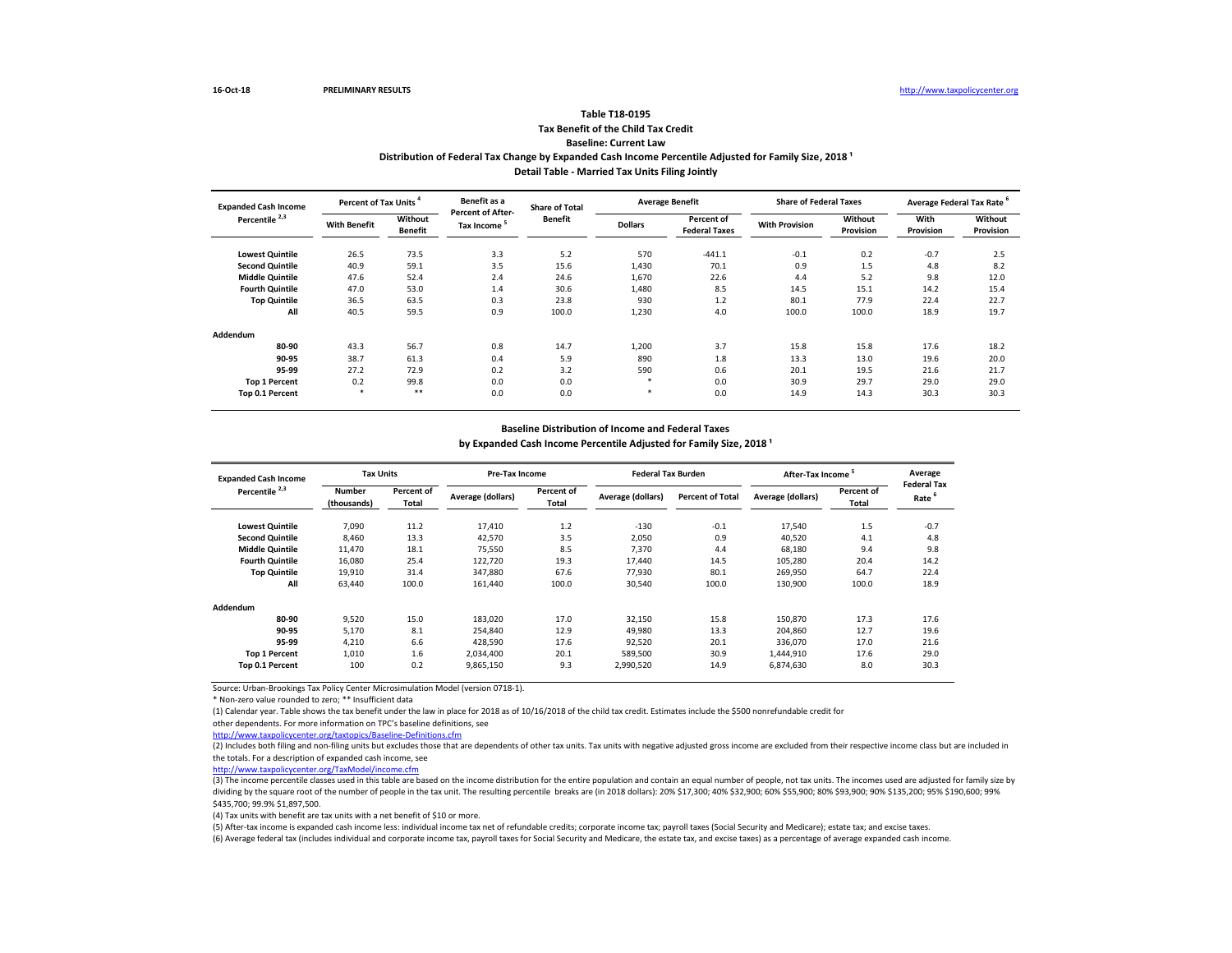(3) The income percentile classes used in this table are based on the income distribution for the entire population and contain an equal number of people, not tax units. The incomes used are adjusted for family size by dividing by the square root of the number of people in the tax unit. The resulting percentile breaks are (in 2018 dollars): 20% \$17,300; 40% \$32,900; 60% \$55,900; 80% \$93,900; 90% \$135,200; 95% \$190,600; 99% \$435,700; 99.9% \$1,897,500.

Source: Urban-Brookings Tax Policy Center Microsimulation Model (version 0718-1).

\* Non-zero value rounded to zero; \*\* Insufficient data

(1) Calendar year. Table shows the tax benefit under the law in place for 2018 as of 10/16/2018 of the child tax credit. Estimates include the \$500 nonrefundable credit for other dependents. For more information on TPC's baseline definitions, see

<http://www.taxpolicycenter.org/taxtopics/Baseline-Definitions.cfm>

# **Tax Benefit of the Child Tax Credit Baseline: Current Law Table T18-0195**

| <b>Expanded Cash Income</b> |                     | Percent of Tax Units <sup>4</sup> |                                                     | <b>Share of Total</b> |                | <b>Average Benefit</b>             | <b>Share of Federal Taxes</b> |                             | Average Federal Tax Rate |                                    |
|-----------------------------|---------------------|-----------------------------------|-----------------------------------------------------|-----------------------|----------------|------------------------------------|-------------------------------|-----------------------------|--------------------------|------------------------------------|
| Percentile <sup>2,3</sup>   | <b>With Benefit</b> | Without<br><b>Benefit</b>         | <b>Percent of After-</b><br>Tax Income <sup>5</sup> | <b>Benefit</b>        | <b>Dollars</b> | Percent of<br><b>Federal Taxes</b> | <b>With Provision</b>         | Without<br><b>Provision</b> | With<br><b>Provision</b> | <b>Without</b><br><b>Provision</b> |
| <b>Lowest Quintile</b>      | 26.5                | 73.5                              | 3.3                                                 | 5.2                   | 570            | $-441.1$                           | $-0.1$                        | 0.2                         | $-0.7$                   | 2.5                                |
| <b>Second Quintile</b>      | 40.9                | 59.1                              | 3.5                                                 | 15.6                  | 1,430          | 70.1                               | 0.9                           | 1.5                         | 4.8                      | 8.2                                |
| <b>Middle Quintile</b>      | 47.6                | 52.4                              | 2.4                                                 | 24.6                  | 1,670          | 22.6                               | 4.4                           | 5.2                         | 9.8                      | 12.0                               |
| <b>Fourth Quintile</b>      | 47.0                | 53.0                              | 1.4                                                 | 30.6                  | 1,480          | 8.5                                | 14.5                          | 15.1                        | 14.2                     | 15.4                               |
| <b>Top Quintile</b>         | 36.5                | 63.5                              | 0.3                                                 | 23.8                  | 930            | 1.2                                | 80.1                          | 77.9                        | 22.4                     | 22.7                               |
| All                         | 40.5                | 59.5                              | 0.9                                                 | 100.0                 | 1,230          | 4.0                                | 100.0                         | 100.0                       | 18.9                     | 19.7                               |
| <b>Addendum</b>             |                     |                                   |                                                     |                       |                |                                    |                               |                             |                          |                                    |
| 80-90                       | 43.3                | 56.7                              | 0.8                                                 | 14.7                  | 1,200          | 3.7                                | 15.8                          | 15.8                        | 17.6                     | 18.2                               |
| 90-95                       | 38.7                | 61.3                              | 0.4                                                 | 5.9                   | 890            | 1.8                                | 13.3                          | 13.0                        | 19.6                     | 20.0                               |
| 95-99                       | 27.2                | 72.9                              | 0.2                                                 | 3.2                   | 590            | 0.6                                | 20.1                          | 19.5                        | 21.6                     | 21.7                               |
| <b>Top 1 Percent</b>        | 0.2                 | 99.8                              | 0.0                                                 | 0.0                   |                | 0.0                                | 30.9                          | 29.7                        | 29.0                     | 29.0                               |
| Top 0.1 Percent             | $\ast$              | $***$                             | 0.0                                                 | 0.0                   | $\ast$         | 0.0                                | 14.9                          | 14.3                        | 30.3                     | 30.3                               |

# Distribution of Federal Tax Change by Expanded Cash Income Percentile Adjusted for Family Size, 2018<sup>1</sup> **Detail Table - Married Tax Units Filing Jointly**

| <b>Expanded Cash Income</b> | <b>Tax Units</b>             |                            | <b>Pre-Tax Income</b> |                            | <b>Federal Tax Burden</b> |                         | After-Tax Income <sup>3</sup> |                            | Average                                 |
|-----------------------------|------------------------------|----------------------------|-----------------------|----------------------------|---------------------------|-------------------------|-------------------------------|----------------------------|-----------------------------------------|
| Percentile <sup>2,3</sup>   | <b>Number</b><br>(thousands) | Percent of<br><b>Total</b> | Average (dollars)     | Percent of<br><b>Total</b> | Average (dollars)         | <b>Percent of Total</b> | Average (dollars)             | Percent of<br><b>Total</b> | <b>Federal Tax</b><br>Rate <sup>6</sup> |
| <b>Lowest Quintile</b>      | 7,090                        | 11.2                       | 17,410                | 1.2                        | $-130$                    | $-0.1$                  | 17,540                        | 1.5                        | $-0.7$                                  |
| <b>Second Quintile</b>      | 8,460                        | 13.3                       | 42,570                | 3.5                        | 2,050                     | 0.9                     | 40,520                        | 4.1                        | 4.8                                     |
| <b>Middle Quintile</b>      | 11,470                       | 18.1                       | 75,550                | 8.5                        | 7,370                     | 4.4                     | 68,180                        | 9.4                        | 9.8                                     |
| <b>Fourth Quintile</b>      | 16,080                       | 25.4                       | 122,720               | 19.3                       | 17,440                    | 14.5                    | 105,280                       | 20.4                       | 14.2                                    |
| <b>Top Quintile</b>         | 19,910                       | 31.4                       | 347,880               | 67.6                       | 77,930                    | 80.1                    | 269,950                       | 64.7                       | 22.4                                    |
| All                         | 63,440                       | 100.0                      | 161,440               | 100.0                      | 30,540                    | 100.0                   | 130,900                       | 100.0                      | 18.9                                    |
| <b>Addendum</b>             |                              |                            |                       |                            |                           |                         |                               |                            |                                         |
| 80-90                       | 9,520                        | 15.0                       | 183,020               | 17.0                       | 32,150                    | 15.8                    | 150,870                       | 17.3                       | 17.6                                    |
| 90-95                       | 5,170                        | 8.1                        | 254,840               | 12.9                       | 49,980                    | 13.3                    | 204,860                       | 12.7                       | 19.6                                    |
| 95-99                       | 4,210                        | 6.6                        | 428,590               | 17.6                       | 92,520                    | 20.1                    | 336,070                       | 17.0                       | 21.6                                    |
| <b>Top 1 Percent</b>        | 1,010                        | 1.6                        | 2,034,400             | 20.1                       | 589,500                   | 30.9                    | 1,444,910                     | 17.6                       | 29.0                                    |
| Top 0.1 Percent             | 100                          | 0.2                        | 9,865,150             | 9.3                        | 2,990,520                 | 14.9                    | 6,874,630                     | 8.0                        | 30.3                                    |

[http://www.taxpolicycente](http://www.taxpolicycenter.org/TaxModel/income.cfm)r.org/TaxModel/income.cfm

(4) Tax units with benefit are tax units with a net benefit of \$10 or more.

(5) After-tax income is expanded cash income less: individual income tax net of refundable credits; corporate income tax; payroll taxes (Social Security and Medicare); estate tax; and excise taxes.

(6) Average federal tax (includes individual and corporate income tax, payroll taxes for Social Security and Medicare, the estate tax, and excise taxes) as a percentage of average expanded cash income.

### **Baseline Distribution of Income and Federal Taxes**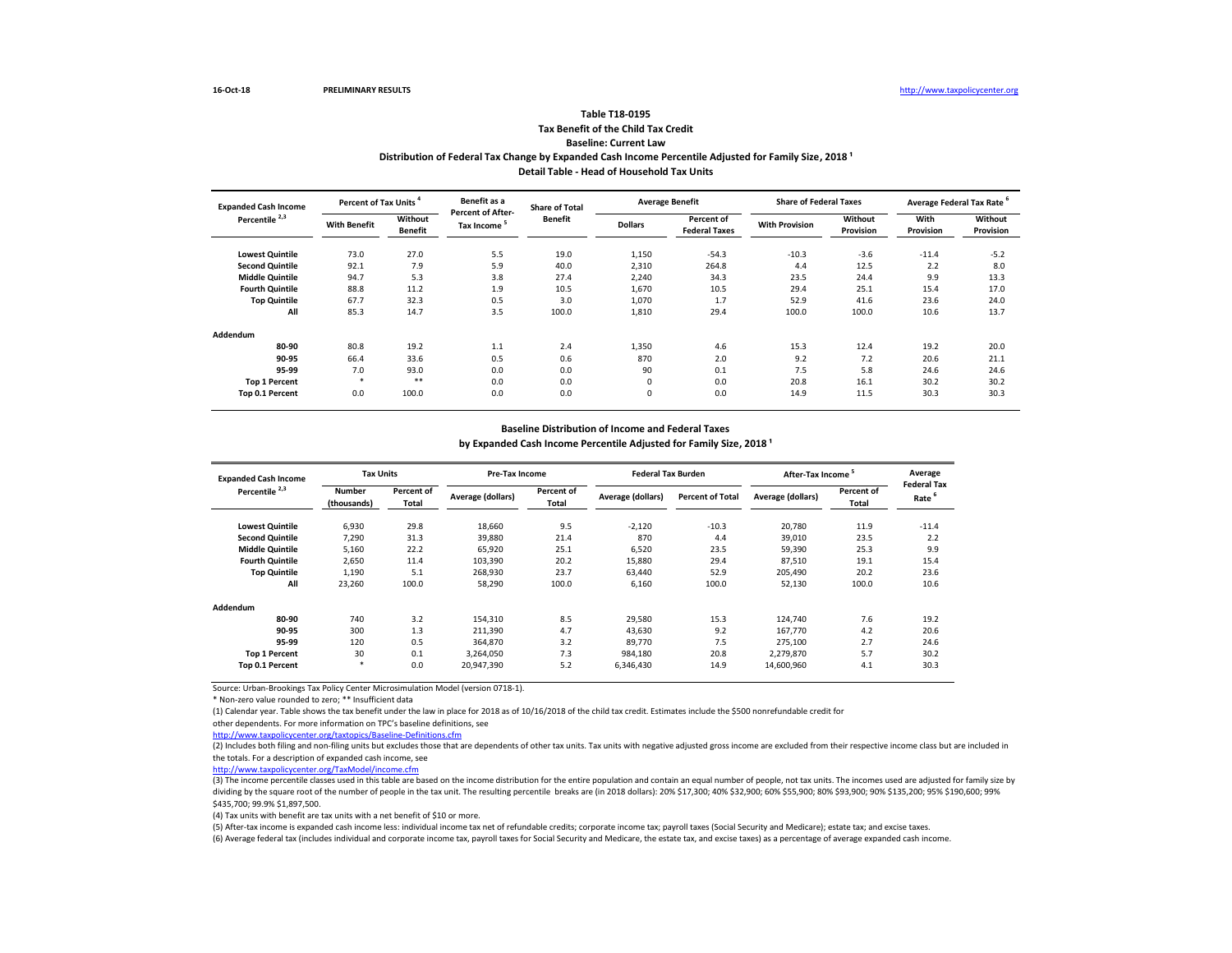(3) The income percentile classes used in this table are based on the income distribution for the entire population and contain an equal number of people, not tax units. The incomes used are adjusted for family size by dividing by the square root of the number of people in the tax unit. The resulting percentile breaks are (in 2018 dollars): 20% \$17,300; 40% \$32,900; 60% \$55,900; 80% \$93,900; 90% \$135,200; 95% \$190,600; 99% \$435,700; 99.9% \$1,897,500.

Source: Urban-Brookings Tax Policy Center Microsimulation Model (version 0718-1).

\* Non-zero value rounded to zero; \*\* Insufficient data

(1) Calendar year. Table shows the tax benefit under the law in place for 2018 as of 10/16/2018 of the child tax credit. Estimates include the \$500 nonrefundable credit for other dependents. For more information on TPC's baseline definitions, see

<http://www.taxpolicycenter.org/taxtopics/Baseline-Definitions.cfm>

# **Tax Benefit of the Child Tax Credit Baseline: Current Law Table T18-0195**

| Percent of Tax Units <sup>4</sup><br><b>Expanded Cash Income</b> |                     | Benefit as a              | <b>Share of Total</b>                               |                | <b>Average Benefit</b> | <b>Share of Federal Taxes</b>      |                       | Average Federal Tax Rate |                   |                             |
|------------------------------------------------------------------|---------------------|---------------------------|-----------------------------------------------------|----------------|------------------------|------------------------------------|-----------------------|--------------------------|-------------------|-----------------------------|
| Percentile <sup>2,3</sup>                                        | <b>With Benefit</b> | Without<br><b>Benefit</b> | <b>Percent of After-</b><br>Tax Income <sup>5</sup> | <b>Benefit</b> | <b>Dollars</b>         | Percent of<br><b>Federal Taxes</b> | <b>With Provision</b> | Without<br>Provision     | With<br>Provision | <b>Without</b><br>Provision |
| <b>Lowest Quintile</b>                                           | 73.0                | 27.0                      | 5.5                                                 | 19.0           | 1,150                  | $-54.3$                            | $-10.3$               | $-3.6$                   | $-11.4$           | $-5.2$                      |
| <b>Second Quintile</b>                                           | 92.1                | 7.9                       | 5.9                                                 | 40.0           | 2,310                  | 264.8                              | 4.4                   | 12.5                     | 2.2               | 8.0                         |
| <b>Middle Quintile</b>                                           | 94.7                | 5.3                       | 3.8                                                 | 27.4           | 2,240                  | 34.3                               | 23.5                  | 24.4                     | 9.9               | 13.3                        |
| <b>Fourth Quintile</b>                                           | 88.8                | 11.2                      | 1.9                                                 | 10.5           | 1,670                  | 10.5                               | 29.4                  | 25.1                     | 15.4              | 17.0                        |
| <b>Top Quintile</b>                                              | 67.7                | 32.3                      | 0.5                                                 | 3.0            | 1,070                  | 1.7                                | 52.9                  | 41.6                     | 23.6              | 24.0                        |
| All                                                              | 85.3                | 14.7                      | 3.5                                                 | 100.0          | 1,810                  | 29.4                               | 100.0                 | 100.0                    | 10.6              | 13.7                        |
| <b>Addendum</b>                                                  |                     |                           |                                                     |                |                        |                                    |                       |                          |                   |                             |
| 80-90                                                            | 80.8                | 19.2                      | 1.1                                                 | 2.4            | 1,350                  | 4.6                                | 15.3                  | 12.4                     | 19.2              | 20.0                        |
| 90-95                                                            | 66.4                | 33.6                      | 0.5                                                 | 0.6            | 870                    | 2.0                                | 9.2                   | 7.2                      | 20.6              | 21.1                        |
| 95-99                                                            | 7.0                 | 93.0                      | 0.0                                                 | 0.0            | 90                     | 0.1                                | 7.5                   | 5.8                      | 24.6              | 24.6                        |
| <b>Top 1 Percent</b>                                             | *                   | $***$                     | 0.0                                                 | 0.0            | 0                      | 0.0                                | 20.8                  | 16.1                     | 30.2              | 30.2                        |
| Top 0.1 Percent                                                  | 0.0                 | 100.0                     | 0.0                                                 | 0.0            | $\mathbf 0$            | 0.0                                | 14.9                  | 11.5                     | 30.3              | 30.3                        |

# Distribution of Federal Tax Change by Expanded Cash Income Percentile Adjusted for Family Size, 2018<sup>1</sup> **Detail Table - Head of Household Tax Units**

| <b>Expanded Cash Income</b> |                              | <b>Tax Units</b>           |                          | <b>Pre-Tax Income</b>             |                   | <b>Federal Tax Burden</b> | After-Tax Income <sup>5</sup> |                     | Average                                 |
|-----------------------------|------------------------------|----------------------------|--------------------------|-----------------------------------|-------------------|---------------------------|-------------------------------|---------------------|-----------------------------------------|
| Percentile <sup>2,3</sup>   | <b>Number</b><br>(thousands) | Percent of<br><b>Total</b> | <b>Average (dollars)</b> | <b>Percent of</b><br><b>Total</b> | Average (dollars) | <b>Percent of Total</b>   | Average (dollars)             | Percent of<br>Total | <b>Federal Tax</b><br>Rate <sup>6</sup> |
| <b>Lowest Quintile</b>      | 6,930                        | 29.8                       | 18,660                   | 9.5                               | $-2,120$          | $-10.3$                   | 20,780                        | 11.9                | $-11.4$                                 |
| <b>Second Quintile</b>      | 7,290                        | 31.3                       | 39,880                   | 21.4                              | 870               | 4.4                       | 39,010                        | 23.5                | 2.2                                     |
| <b>Middle Quintile</b>      | 5,160                        | 22.2                       | 65,920                   | 25.1                              | 6,520             | 23.5                      | 59,390                        | 25.3                | 9.9                                     |
| <b>Fourth Quintile</b>      | 2,650                        | 11.4                       | 103,390                  | 20.2                              | 15,880            | 29.4                      | 87,510                        | 19.1                | 15.4                                    |
| <b>Top Quintile</b>         | 1,190                        | 5.1                        | 268,930                  | 23.7                              | 63,440            | 52.9                      | 205,490                       | 20.2                | 23.6                                    |
| All                         | 23,260                       | 100.0                      | 58,290                   | 100.0                             | 6,160             | 100.0                     | 52,130                        | 100.0               | 10.6                                    |
| <b>Addendum</b>             |                              |                            |                          |                                   |                   |                           |                               |                     |                                         |
| 80-90                       | 740                          | 3.2                        | 154,310                  | 8.5                               | 29,580            | 15.3                      | 124,740                       | 7.6                 | 19.2                                    |
| 90-95                       | 300                          | 1.3                        | 211,390                  | 4.7                               | 43,630            | 9.2                       | 167,770                       | 4.2                 | 20.6                                    |
| 95-99                       | 120                          | 0.5                        | 364,870                  | 3.2                               | 89,770            | 7.5                       | 275,100                       | 2.7                 | 24.6                                    |
| <b>Top 1 Percent</b>        | 30                           | 0.1                        | 3,264,050                | 7.3                               | 984,180           | 20.8                      | 2,279,870                     | 5.7                 | 30.2                                    |
| Top 0.1 Percent             | $\ast$                       | 0.0                        | 20,947,390               | 5.2                               | 6,346,430         | 14.9                      | 14,600,960                    | 4.1                 | 30.3                                    |

[http://www.taxpolicycente](http://www.taxpolicycenter.org/TaxModel/income.cfm)r.org/TaxModel/income.cfm

(4) Tax units with benefit are tax units with a net benefit of \$10 or more.

(5) After-tax income is expanded cash income less: individual income tax net of refundable credits; corporate income tax; payroll taxes (Social Security and Medicare); estate tax; and excise taxes.

(6) Average federal tax (includes individual and corporate income tax, payroll taxes for Social Security and Medicare, the estate tax, and excise taxes) as a percentage of average expanded cash income.

### **Baseline Distribution of Income and Federal Taxes**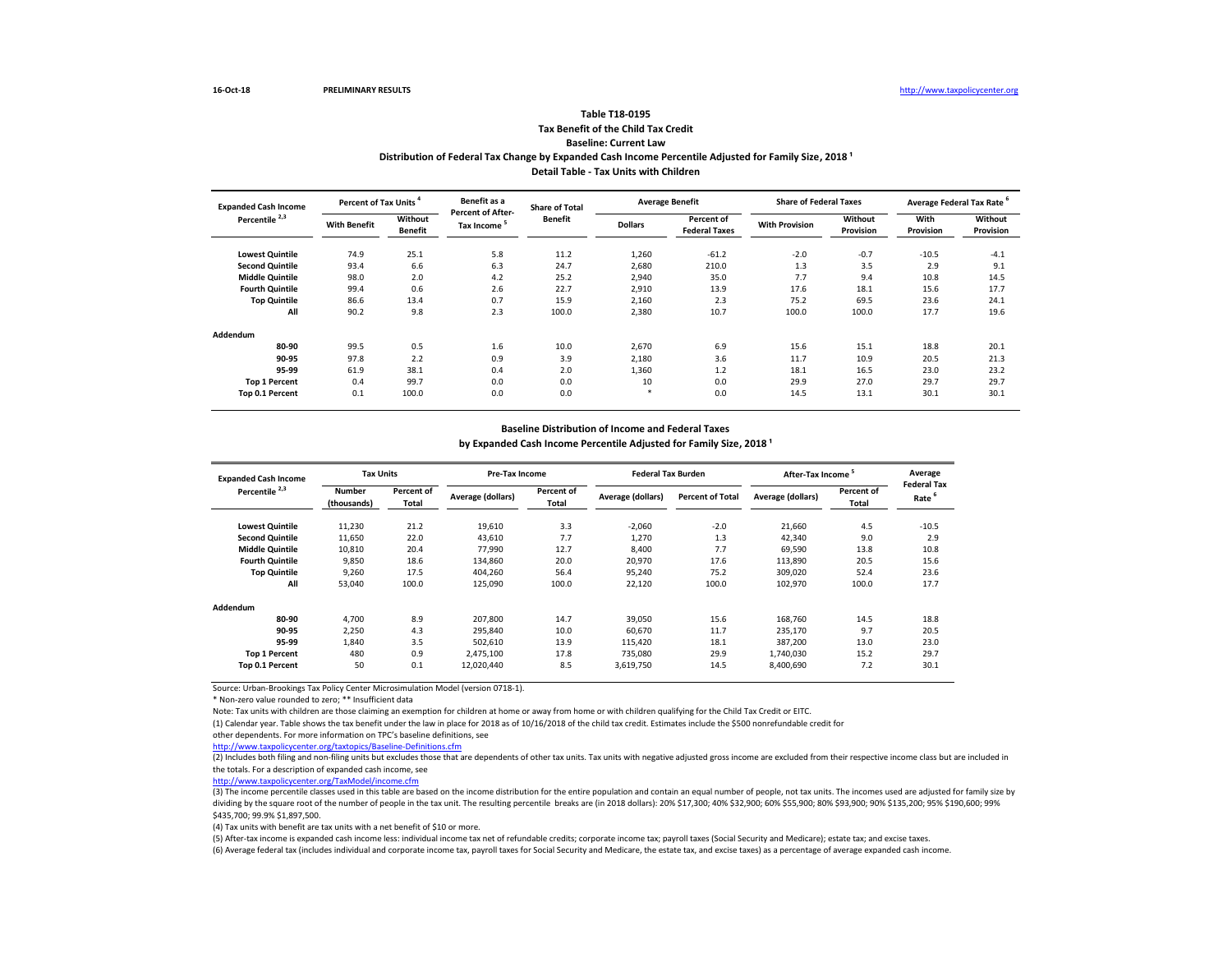(3) The income percentile classes used in this table are based on the income distribution for the entire population and contain an equal number of people, not tax units. The incomes used are adjusted for family size by dividing by the square root of the number of people in the tax unit. The resulting percentile breaks are (in 2018 dollars): 20% \$17,300; 40% \$32,900; 60% \$55,900; 80% \$93,900; 90% \$135,200; 95% \$190,600; 99% \$435,700; 99.9% \$1,897,500.

Source: Urban-Brookings Tax Policy Center Microsimulation Model (version 0718-1).

\* Non-zero value rounded to zero; \*\* Insufficient data

Note: Tax units with children are those claiming an exemption for children at home or away from home or with children qualifying for the Child Tax Credit or EITC. (1) Calendar year. Table shows the tax benefit under the law in place for 2018 as of 10/16/2018 of the child tax credit. Estimates include the \$500 nonrefundable credit for other dependents. For more information on TPC's baseline definitions, see

<http://www.taxpolicycenter.org/taxtopics/Baseline-Definitions.cfm>

# **Tax Benefit of the Child Tax Credit Baseline: Current Law Table T18-0195**

| Percent of Tax Units <sup>4</sup><br><b>Expanded Cash Income</b> |                     | Benefit as a              | <b>Share of Total</b>                               | <b>Average Benefit</b> |                | <b>Share of Federal Taxes</b>      |                       | Average Federal Tax Rate <sup>6</sup> |                          |                      |
|------------------------------------------------------------------|---------------------|---------------------------|-----------------------------------------------------|------------------------|----------------|------------------------------------|-----------------------|---------------------------------------|--------------------------|----------------------|
| Percentile <sup>2,3</sup>                                        | <b>With Benefit</b> | Without<br><b>Benefit</b> | <b>Percent of After-</b><br>Tax Income <sup>5</sup> | <b>Benefit</b>         | <b>Dollars</b> | Percent of<br><b>Federal Taxes</b> | <b>With Provision</b> | Without<br>Provision                  | With<br><b>Provision</b> | Without<br>Provision |
| <b>Lowest Quintile</b>                                           | 74.9                | 25.1                      | 5.8                                                 | 11.2                   | 1,260          | $-61.2$                            | $-2.0$                | $-0.7$                                | $-10.5$                  | $-4.1$               |
| <b>Second Quintile</b>                                           | 93.4                | 6.6                       | 6.3                                                 | 24.7                   | 2,680          | 210.0                              | 1.3                   | 3.5                                   | 2.9                      | 9.1                  |
| <b>Middle Quintile</b>                                           | 98.0                | 2.0                       | 4.2                                                 | 25.2                   | 2,940          | 35.0                               | 7.7                   | 9.4                                   | 10.8                     | 14.5                 |
| <b>Fourth Quintile</b>                                           | 99.4                | 0.6                       | 2.6                                                 | 22.7                   | 2,910          | 13.9                               | 17.6                  | 18.1                                  | 15.6                     | 17.7                 |
| <b>Top Quintile</b>                                              | 86.6                | 13.4                      | 0.7                                                 | 15.9                   | 2,160          | 2.3                                | 75.2                  | 69.5                                  | 23.6                     | 24.1                 |
| All                                                              | 90.2                | 9.8                       | 2.3                                                 | 100.0                  | 2,380          | 10.7                               | 100.0                 | 100.0                                 | 17.7                     | 19.6                 |
| <b>Addendum</b>                                                  |                     |                           |                                                     |                        |                |                                    |                       |                                       |                          |                      |
| 80-90                                                            | 99.5                | 0.5                       | 1.6                                                 | 10.0                   | 2,670          | 6.9                                | 15.6                  | 15.1                                  | 18.8                     | 20.1                 |
| 90-95                                                            | 97.8                | 2.2                       | 0.9                                                 | 3.9                    | 2,180          | 3.6                                | 11.7                  | 10.9                                  | 20.5                     | 21.3                 |
| 95-99                                                            | 61.9                | 38.1                      | 0.4                                                 | 2.0                    | 1,360          | 1.2                                | 18.1                  | 16.5                                  | 23.0                     | 23.2                 |
| <b>Top 1 Percent</b>                                             | 0.4                 | 99.7                      | 0.0                                                 | 0.0                    | 10             | 0.0                                | 29.9                  | 27.0                                  | 29.7                     | 29.7                 |
| Top 0.1 Percent                                                  | 0.1                 | 100.0                     | 0.0                                                 | 0.0                    | $\ast$         | 0.0                                | 14.5                  | 13.1                                  | 30.1                     | 30.1                 |

# Distribution of Federal Tax Change by Expanded Cash Income Percentile Adjusted for Family Size, 2018<sup>1</sup> **Detail Table - Tax Units with Children**

| <b>Expanded Cash Income</b> | <b>Tax Units</b>             |                     | <b>Pre-Tax Income</b> |                            | <b>Federal Tax Burden</b> |                         | After-Tax Income <sup>5</sup> |                            | Average                                 |
|-----------------------------|------------------------------|---------------------|-----------------------|----------------------------|---------------------------|-------------------------|-------------------------------|----------------------------|-----------------------------------------|
| Percentile <sup>2,3</sup>   | <b>Number</b><br>(thousands) | Percent of<br>Total | Average (dollars)     | Percent of<br><b>Total</b> | Average (dollars)         | <b>Percent of Total</b> | Average (dollars)             | Percent of<br><b>Total</b> | <b>Federal Tax</b><br>Rate <sup>b</sup> |
| <b>Lowest Quintile</b>      | 11,230                       | 21.2                | 19,610                | 3.3                        | $-2,060$                  | $-2.0$                  | 21,660                        | 4.5                        | $-10.5$                                 |
| <b>Second Quintile</b>      | 11,650                       | 22.0                | 43,610                | 7.7                        | 1,270                     | 1.3                     | 42,340                        | 9.0                        | 2.9                                     |
| <b>Middle Quintile</b>      | 10,810                       | 20.4                | 77,990                | 12.7                       | 8,400                     | 7.7                     | 69,590                        | 13.8                       | 10.8                                    |
| <b>Fourth Quintile</b>      | 9,850                        | 18.6                | 134,860               | 20.0                       | 20,970                    | 17.6                    | 113,890                       | 20.5                       | 15.6                                    |
| <b>Top Quintile</b>         | 9,260                        | 17.5                | 404,260               | 56.4                       | 95,240                    | 75.2                    | 309,020                       | 52.4                       | 23.6                                    |
| All                         | 53,040                       | 100.0               | 125,090               | 100.0                      | 22,120                    | 100.0                   | 102,970                       | 100.0                      | 17.7                                    |
| <b>Addendum</b>             |                              |                     |                       |                            |                           |                         |                               |                            |                                         |
| 80-90                       | 4,700                        | 8.9                 | 207,800               | 14.7                       | 39,050                    | 15.6                    | 168,760                       | 14.5                       | 18.8                                    |
| 90-95                       | 2,250                        | 4.3                 | 295,840               | 10.0                       | 60,670                    | 11.7                    | 235,170                       | 9.7                        | 20.5                                    |
| 95-99                       | 1,840                        | 3.5                 | 502,610               | 13.9                       | 115,420                   | 18.1                    | 387,200                       | 13.0                       | 23.0                                    |
| <b>Top 1 Percent</b>        | 480                          | 0.9                 | 2,475,100             | 17.8                       | 735,080                   | 29.9                    | 1,740,030                     | 15.2                       | 29.7                                    |
| Top 0.1 Percent             | 50                           | 0.1                 | 12,020,440            | 8.5                        | 3,619,750                 | 14.5                    | 8,400,690                     | 7.2                        | 30.1                                    |

[http://www.taxpolicycente](http://www.taxpolicycenter.org/TaxModel/income.cfm)r.org/TaxModel/income.cfm

(4) Tax units with benefit are tax units with a net benefit of \$10 or more.

(5) After-tax income is expanded cash income less: individual income tax net of refundable credits; corporate income tax; payroll taxes (Social Security and Medicare); estate tax; and excise taxes. (6) Average federal tax (includes individual and corporate income tax, payroll taxes for Social Security and Medicare, the estate tax, and excise taxes) as a percentage of average expanded cash income.

### **Baseline Distribution of Income and Federal Taxes**